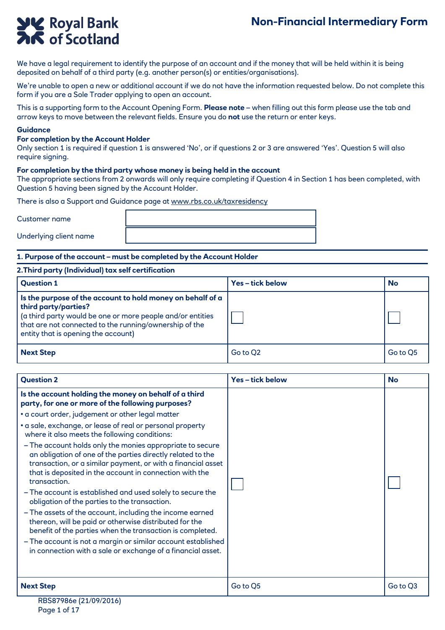# **Non-Financial Intermediary Form**

# **YK** Royal Bank

We have a legal requirement to identify the purpose of an account and if the money that will be held within it is being deposited on behalf of a third party (e.g. another person(s) or entities/organisations).

We're unable to open a new or additional account if we do not have the information requested below. Do not complete this form if you are a Sole Trader applying to open an account.

This is a supporting form to the Account Opening Form. **Please note** – when filling out this form please use the tab and arrow keys to move between the relevant fields. Ensure you do **not** use the return or enter keys.

#### **Guidance**

#### **For completion by the Account Holder**

Only section 1 is required if question 1 is answered 'No', or if questions 2 or 3 are answered 'Yes'. Question 5 will also require signing.

#### **For completion by the third party whose money is being held in the account**

The appropriate sections from 2 onwards will only require completing if Question 4 in Section 1 has been completed, with Question 5 having been signed by the Account Holder.

There is also a Support and Guidance page at www.rbs.co.uk/taxresidency

Customer name

Underlying client name

#### **1. Purpose of the account – must be completed by the Account Holder**

#### **2.Third party (Individual) tax self certification**

| <b>Question 1</b>                                                                                                                                                                                                                                 | Yes-tick below | <b>No</b> |
|---------------------------------------------------------------------------------------------------------------------------------------------------------------------------------------------------------------------------------------------------|----------------|-----------|
| Is the purpose of the account to hold money on behalf of a<br>third party/parties?<br>(a third party would be one or more people and/or entities<br>that are not connected to the running/ownership of the<br>entity that is opening the account) |                |           |
| <b>Next Step</b>                                                                                                                                                                                                                                  | Go to Q2       | Go to O5  |

| <b>Question 2</b>                                                                                                                                                                                                                                                   | Yes-tick below | <b>No</b> |
|---------------------------------------------------------------------------------------------------------------------------------------------------------------------------------------------------------------------------------------------------------------------|----------------|-----------|
| Is the account holding the money on behalf of a third<br>party, for one or more of the following purposes?                                                                                                                                                          |                |           |
| • a court order, judgement or other legal matter                                                                                                                                                                                                                    |                |           |
| • a sale, exchange, or lease of real or personal property<br>where it also meets the following conditions:                                                                                                                                                          |                |           |
| - The account holds only the monies appropriate to secure<br>an obligation of one of the parties directly related to the<br>transaction, or a similar payment, or with a financial asset<br>that is deposited in the account in connection with the<br>transaction. |                |           |
| - The account is established and used solely to secure the<br>obligation of the parties to the transaction.                                                                                                                                                         |                |           |
| - The assets of the account, including the income earned<br>thereon, will be paid or otherwise distributed for the<br>benefit of the parties when the transaction is completed.                                                                                     |                |           |
| - The account is not a margin or similar account established<br>in connection with a sale or exchange of a financial asset.                                                                                                                                         |                |           |
|                                                                                                                                                                                                                                                                     |                |           |
| <b>Next Step</b>                                                                                                                                                                                                                                                    | Go to Q5       | Go to Q3  |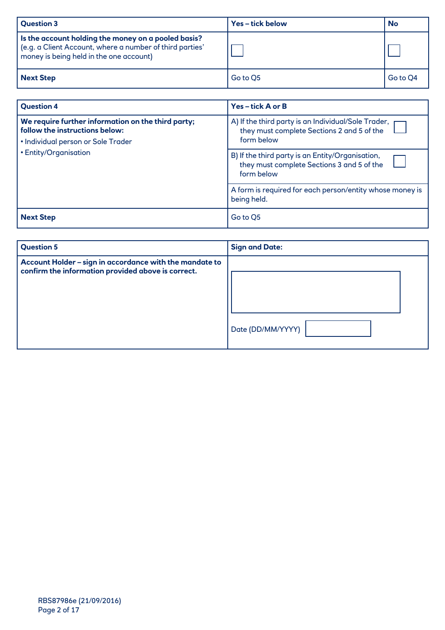| <b>Question 3</b>                                                                                                                                          | Yes-tick below | <b>No</b> |
|------------------------------------------------------------------------------------------------------------------------------------------------------------|----------------|-----------|
| Is the account holding the money on a pooled basis?<br>(e.g. a Client Account, where a number of third parties'<br>money is being held in the one account) |                |           |
| Next Step                                                                                                                                                  | Go to Q5       | Go to Q4  |

| <b>Question 4</b>                                                                                                                                   | Yes-tick A or B                                                                                                   |
|-----------------------------------------------------------------------------------------------------------------------------------------------------|-------------------------------------------------------------------------------------------------------------------|
| We require further information on the third party;<br>follow the instructions below:<br>• Individual person or Sole Trader<br>• Entity/Organisation | A) If the third party is an Individual/Sole Trader, r<br>they must complete Sections 2 and 5 of the<br>form below |
|                                                                                                                                                     | B) If the third party is an Entity/Organisation,<br>they must complete Sections 3 and 5 of the<br>form below      |
|                                                                                                                                                     | A form is required for each person/entity whose money is<br>being held.                                           |
| <b>Next Step</b>                                                                                                                                    | Go to O5                                                                                                          |

| <b>Question 5</b>                                                                                             | <b>Sign and Date:</b> |
|---------------------------------------------------------------------------------------------------------------|-----------------------|
| Account Holder - sign in accordance with the mandate to<br>confirm the information provided above is correct. | Date (DD/MM/YYYY)     |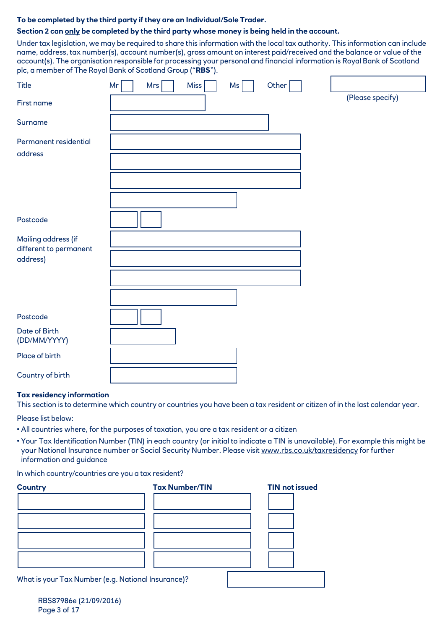# **To be completed by the third party if they are an Individual/Sole Trader.**

# **Section 2 can only be completed by the third party whose money is being held in the account.**

Under tax legislation, we may be required to share this information with the local tax authority. This information can include name, address, tax number(s), account number(s), gross amount on interest paid/received and the balance or value of the account(s). The organisation responsible for processing your personal and financial information is Royal Bank of Scotland plc, a member of The Royal Bank of Scotland Group ("**RBS**").

| <b>Title</b>                                  | <b>Miss</b><br>Other<br>Mr<br><b>Mrs</b><br>Ms |                  |
|-----------------------------------------------|------------------------------------------------|------------------|
| First name                                    |                                                | (Please specify) |
| Surname                                       |                                                |                  |
| Permanent residential<br>address              |                                                |                  |
|                                               |                                                |                  |
|                                               |                                                |                  |
|                                               |                                                |                  |
| Postcode                                      |                                                |                  |
| Mailing address (if<br>different to permanent |                                                |                  |
| address)                                      |                                                |                  |
|                                               |                                                |                  |
|                                               |                                                |                  |
| Postcode                                      |                                                |                  |
| Date of Birth<br>(DD/MM/YYYY)                 |                                                |                  |
| Place of birth                                |                                                |                  |
| Country of birth                              |                                                |                  |

#### **Tax residency information**

This section is to determine which country or countries you have been a tax resident or citizen of in the last calendar year.

Please list below:

- All countries where, for the purposes of taxation, you are a tax resident or a citizen
- Your Tax Identification Number (TIN) in each country (or initial to indicate a TIN is unavailable). For example this might be your National Insurance number or Social Security Number. Please visit www.rbs.co.uk/taxresidency for further information and guidance

In which country/countries are you a tax resident?

| <b>Country</b> | <b>Tax Number/TIN</b>                              | <b>TIN not issued</b> |
|----------------|----------------------------------------------------|-----------------------|
|                |                                                    |                       |
|                |                                                    |                       |
|                |                                                    |                       |
|                |                                                    |                       |
|                | What is your Tax Number (e.g. National Insurance)? |                       |

RBS87986e (21/09/2016) Page 3 of 17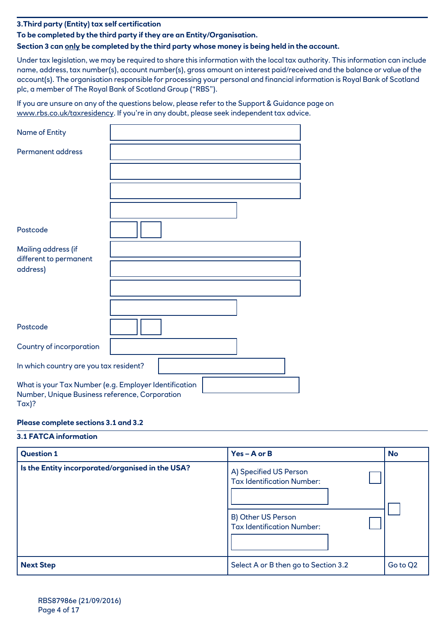**3.Third party (Entity) tax self certification**

# **To be completed by the third party if they are an Entity/Organisation.**

# **Section 3 can only be completed by the third party whose money is being held in the account.**

Under tax legislation, we may be required to share this information with the local tax authority. This information can include name, address, tax number(s), account number(s), gross amount on interest paid/received and the balance or value of the account(s). The organisation responsible for processing your personal and financial information is Royal Bank of Scotland plc, a member of The Royal Bank of Scotland Group ("RBS").

If you are unsure on any of the questions below, please refer to the Support & Guidance page on www.rbs.co.uk/taxresidency. If you're in any doubt, please seek independent tax advice.

| Name of Entity                                                                                                     |  |
|--------------------------------------------------------------------------------------------------------------------|--|
| <b>Permanent address</b>                                                                                           |  |
|                                                                                                                    |  |
|                                                                                                                    |  |
|                                                                                                                    |  |
| Postcode                                                                                                           |  |
| Mailing address (if<br>different to permanent<br>address)                                                          |  |
|                                                                                                                    |  |
|                                                                                                                    |  |
| Postcode                                                                                                           |  |
| Country of incorporation                                                                                           |  |
| In which country are you tax resident?                                                                             |  |
| What is your Tax Number (e.g. Employer Identification<br>Number, Unique Business reference, Corporation<br>$Tax$ ? |  |

# **Please complete sections 3.1 and 3.2**

#### **3.1 FATCA information**

| <b>Question 1</b>                                | $Yes - A$ or $B$                                                                                                       | <b>No</b> |
|--------------------------------------------------|------------------------------------------------------------------------------------------------------------------------|-----------|
| Is the Entity incorporated/organised in the USA? | A) Specified US Person<br><b>Tax Identification Number:</b><br>B) Other US Person<br><b>Tax Identification Number:</b> |           |
| <b>Next Step</b>                                 | Select A or B then go to Section 3.2                                                                                   | Go to Q2  |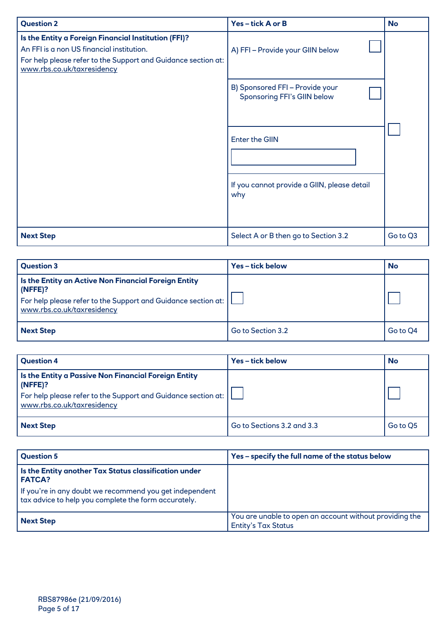| <b>Question 2</b>                                                                                                                                                                                | Yes-tick A or B                                                                                                                                                                        | <b>No</b> |
|--------------------------------------------------------------------------------------------------------------------------------------------------------------------------------------------------|----------------------------------------------------------------------------------------------------------------------------------------------------------------------------------------|-----------|
| Is the Entity a Foreign Financial Institution (FFI)?<br>An FFI is a non US financial institution.<br>For help please refer to the Support and Guidance section at:<br>www.rbs.co.uk/taxresidency | A) FFI-Provide your GIIN below<br>B) Sponsored FFI - Provide your<br><b>Sponsoring FFI's GIIN below</b><br><b>Enter the GIIN</b><br>If you cannot provide a GIIN, please detail<br>why |           |
| <b>Next Step</b>                                                                                                                                                                                 | Select A or B then go to Section 3.2                                                                                                                                                   | Go to Q3  |

| Question 3                                                                                                                                                             | Yes-tick below    | <b>No</b> |
|------------------------------------------------------------------------------------------------------------------------------------------------------------------------|-------------------|-----------|
| Is the Entity an Active Non Financial Foreign Entity<br>$ $ (NFFE)?<br>  For help please refer to the Support and Guidance section at:  <br>www.rbs.co.uk/taxresidency |                   |           |
| Next Step                                                                                                                                                              | Go to Section 3.2 | Go to O4  |

| <b>Question 4</b>                                                                                                                                                       | Yes-tick below             | <b>No</b> |
|-------------------------------------------------------------------------------------------------------------------------------------------------------------------------|----------------------------|-----------|
| Is the Entity a Passive Non Financial Foreign Entity<br>$(N$ FFE $)$ ?<br>For help please refer to the Support and Guidance section at:  <br>www.rbs.co.uk/taxresidency |                            |           |
| <b>Next Step</b>                                                                                                                                                        | Go to Sections 3.2 and 3.3 | Go to O5  |

| <b>Question 5</b>                                                                                               | Yes - specify the full name of the status below                                       |
|-----------------------------------------------------------------------------------------------------------------|---------------------------------------------------------------------------------------|
| Is the Entity another Tax Status classification under<br><b>FATCA?</b>                                          |                                                                                       |
| If you're in any doubt we recommend you get independent<br>tax advice to help you complete the form accurately. |                                                                                       |
| <b>Next Step</b>                                                                                                | You are unable to open an account without providing the<br><b>Entity's Tax Status</b> |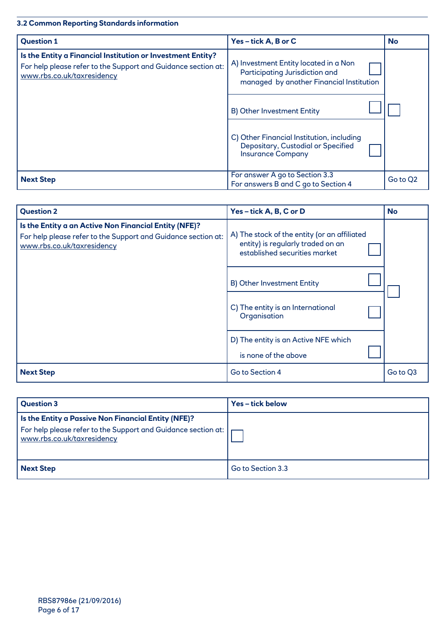# **3.2 Common Reporting Standards information**

| <b>Question 1</b>                                                                                                                                          | Yes-tick A, B or C                                                                                                  | <b>No</b> |
|------------------------------------------------------------------------------------------------------------------------------------------------------------|---------------------------------------------------------------------------------------------------------------------|-----------|
| Is the Entity a Financial Institution or Investment Entity?<br>For help please refer to the Support and Guidance section at:<br>www.rbs.co.uk/taxresidency | A) Investment Entity located in a Non<br>Participating Jurisdiction and<br>managed by another Financial Institution |           |
|                                                                                                                                                            | B) Other Investment Entity                                                                                          |           |
|                                                                                                                                                            | C) Other Financial Institution, including<br>Depositary, Custodial or Specified<br><b>Insurance Company</b>         |           |
| <b>Next Step</b>                                                                                                                                           | For answer A go to Section 3.3<br>For answers B and C go to Section 4                                               | Go to Q2  |

| <b>Question 2</b>                                                                                                                                    | Yes-tick A, B, C or D                                                                                              | <b>No</b> |
|------------------------------------------------------------------------------------------------------------------------------------------------------|--------------------------------------------------------------------------------------------------------------------|-----------|
| Is the Entity a an Active Non Financial Entity (NFE)?<br>For help please refer to the Support and Guidance section at:<br>www.rbs.co.uk/taxresidency | A) The stock of the entity (or an affiliated<br>entity) is regularly traded on an<br>established securities market |           |
|                                                                                                                                                      | B) Other Investment Entity                                                                                         |           |
|                                                                                                                                                      | C) The entity is an International<br>Organisation                                                                  |           |
|                                                                                                                                                      | D) The entity is an Active NFE which<br>is none of the above                                                       |           |
| <b>Next Step</b>                                                                                                                                     | Go to Section 4                                                                                                    | Go to Q3  |

| <b>Question 3</b>                                                                                                                                                               | Yes-tick below    |
|---------------------------------------------------------------------------------------------------------------------------------------------------------------------------------|-------------------|
| Is the Entity a Passive Non Financial Entity (NFE)?<br>For help please refer to the Support and Guidance section at: $\vert \hspace{0.5pt} \vert$<br>www.rbs.co.uk/taxresidency |                   |
| <b>Next Step</b>                                                                                                                                                                | Go to Section 3.3 |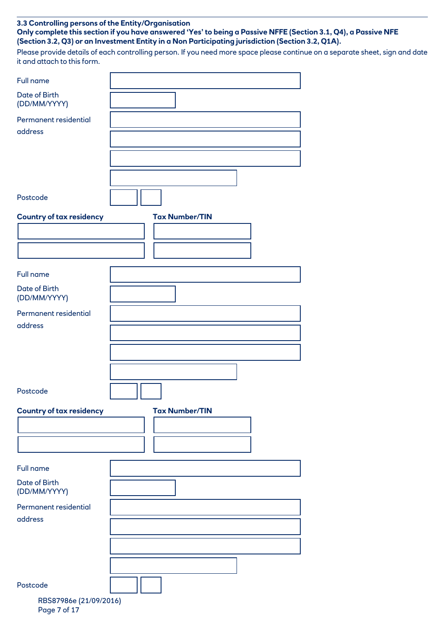# **3.3 Controlling persons of the Entity/Organisation**

**Only complete this section if you have answered 'Yes' to being a Passive NFFE (Section 3.1, Q4), a Passive NFE (Section 3.2, Q3) or an Investment Entity in a Non Participating jurisdiction (Section 3.2, Q1A).**

Please provide details of each controlling person. If you need more space please continue on a separate sheet, sign and date it and attach to this form.

| <b>Full name</b>                |                       |
|---------------------------------|-----------------------|
| Date of Birth<br>(DD/MM/YYYY)   |                       |
| Permanent residential           |                       |
| address                         |                       |
|                                 |                       |
|                                 |                       |
|                                 |                       |
|                                 |                       |
| Postcode                        |                       |
| <b>Country of tax residency</b> | <b>Tax Number/TIN</b> |
|                                 |                       |
|                                 |                       |
|                                 |                       |
| <b>Full name</b>                |                       |
| Date of Birth<br>(DD/MM/YYYY)   |                       |
| Permanent residential           |                       |
| address                         |                       |
|                                 |                       |
|                                 |                       |
|                                 |                       |
|                                 |                       |
| Postcode                        |                       |
| <b>Country of tax residency</b> | <b>Tax Number/TIN</b> |
|                                 |                       |
|                                 |                       |
|                                 |                       |
| <b>Full name</b>                |                       |
| Date of Birth                   |                       |
| (DD/MM/YYYY)                    |                       |
| Permanent residential           |                       |
| address                         |                       |
|                                 |                       |
|                                 |                       |
|                                 |                       |
| Postcode                        |                       |
| RBS87986e (21/09/2016)          |                       |
| Page 7 of 17                    |                       |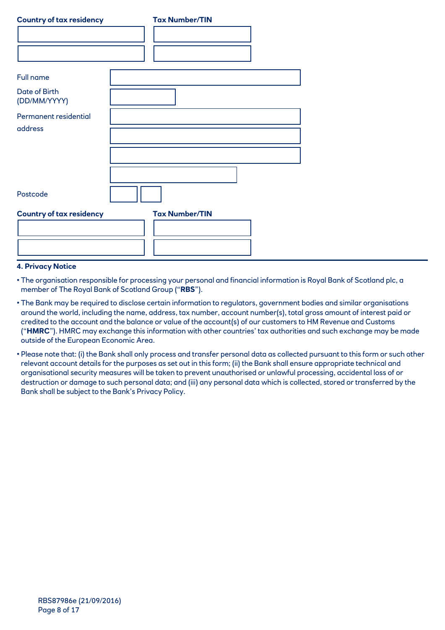| <b>Country of tax residency</b> | <b>Tax Number/TIN</b> |
|---------------------------------|-----------------------|
|                                 |                       |
|                                 |                       |
|                                 |                       |
| Full name                       |                       |
| Date of Birth<br>(DD/MM/YYYY)   |                       |
| Permanent residential           |                       |
| address                         |                       |
|                                 |                       |
|                                 |                       |
|                                 |                       |
| Postcode                        |                       |
| <b>Country of tax residency</b> | <b>Tax Number/TIN</b> |
|                                 |                       |
|                                 |                       |
|                                 |                       |

# **4. Privacy Notice**

• The organisation responsible for processing your personal and financial information is Royal Bank of Scotland plc, a member of The Royal Bank of Scotland Group ("**RBS**").

- The Bank may be required to disclose certain information to regulators, government bodies and similar organisations around the world, including the name, address, tax number, account number(s), total gross amount of interest paid or credited to the account and the balance or value of the account(s) of our customers to HM Revenue and Customs ("**HMRC**"). HMRC may exchange this information with other countries' tax authorities and such exchange may be made outside of the European Economic Area.
- Please note that: (i) the Bank shall only process and transfer personal data as collected pursuant to this form or such other relevant account details for the purposes as set out in this form; (ii) the Bank shall ensure appropriate technical and organisational security measures will be taken to prevent unauthorised or unlawful processing, accidental loss of or destruction or damage to such personal data; and (iii) any personal data which is collected, stored or transferred by the Bank shall be subject to the Bank's Privacy Policy.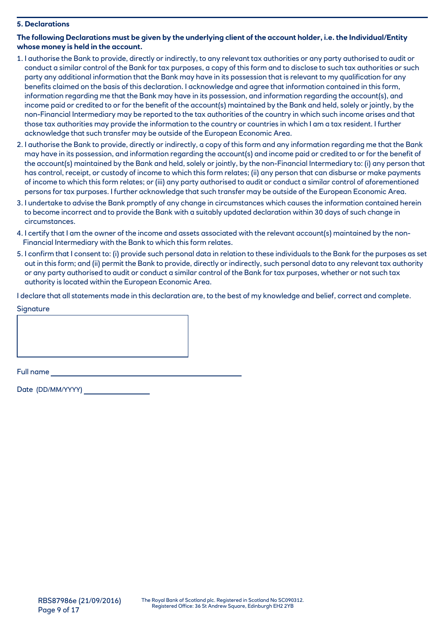# **5. Declarations**

# **The following Declarations must be given by the underlying client of the account holder, i.e. the Individual/Entity whose money is held in the account.**

- 1. I authorise the Bank to provide, directly or indirectly, to any relevant tax authorities or any party authorised to audit or conduct a similar control of the Bank for tax purposes, a copy of this form and to disclose to such tax authorities or such party any additional information that the Bank may have in its possession that is relevant to my qualification for any benefits claimed on the basis of this declaration. I acknowledge and agree that information contained in this form, information regarding me that the Bank may have in its possession, and information regarding the account(s), and income paid or credited to or for the benefit of the account(s) maintained by the Bank and held, solely or jointly, by the non-Financial Intermediary may be reported to the tax authorities of the country in which such income arises and that those tax authorities may provide the information to the country or countries in which I am a tax resident. I further acknowledge that such transfer may be outside of the European Economic Area.
- 2. I authorise the Bank to provide, directly or indirectly, a copy of this form and any information regarding me that the Bank may have in its possession, and information regarding the account(s) and income paid or credited to or for the benefit of the account(s) maintained by the Bank and held, solely or jointly, by the non-Financial Intermediary to: (i) any person that has control, receipt, or custody of income to which this form relates; (ii) any person that can disburse or make payments of income to which this form relates; or (iii) any party authorised to audit or conduct a similar control of aforementioned persons for tax purposes. I further acknowledge that such transfer may be outside of the European Economic Area.
- 3. I undertake to advise the Bank promptly of any change in circumstances which causes the information contained herein to become incorrect and to provide the Bank with a suitably updated declaration within 30 days of such change in circumstances.
- 4. I certify that I am the owner of the income and assets associated with the relevant account(s) maintained by the non-Financial Intermediary with the Bank to which this form relates.
- 5. I confirm that I consent to: (i) provide such personal data in relation to these individuals to the Bank for the purposes as set out in this form; and (ii) permit the Bank to provide, directly or indirectly, such personal data to any relevant tax authority or any party authorised to audit or conduct a similar control of the Bank for tax purposes, whether or not such tax authority is located within the European Economic Area.

I declare that all statements made in this declaration are, to the best of my knowledge and belief, correct and complete.

**Signature** 

Full name

Date (DD/MM/YYYY)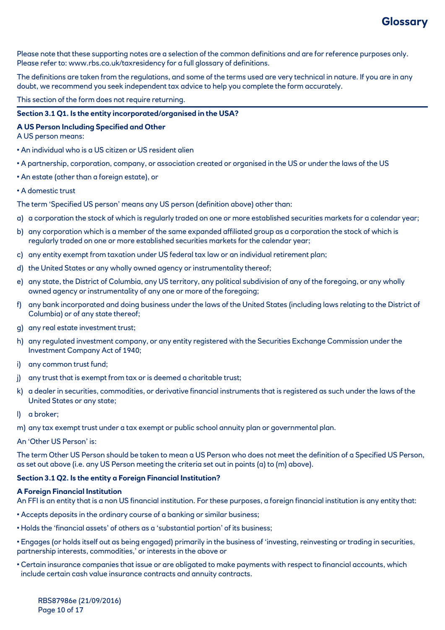

Please note that these supporting notes are a selection of the common definitions and are for reference purposes only. Please refer to: www.rbs.co.uk/taxresidency for a full glossary of definitions.

The definitions are taken from the regulations, and some of the terms used are very technical in nature. If you are in any doubt, we recommend you seek independent tax advice to help you complete the form accurately.

This section of the form does not require returning.

# **Section 3.1 Q1. Is the entity incorporated/organised in the USA?**

#### **A US Person Including Specified and Other**

A US person means:

- An individual who is a US citizen or US resident alien
- A partnership, corporation, company, or association created or organised in the US or under the laws of the US
- An estate (other than a foreign estate), or
- A domestic trust

The term 'Specified US person' means any US person (definition above) other than:

- a) a corporation the stock of which is regularly traded on one or more established securities markets for a calendar year;
- b) any corporation which is a member of the same expanded affiliated group as a corporation the stock of which is regularly traded on one or more established securities markets for the calendar year;
- c) any entity exempt from taxation under US federal tax law or an individual retirement plan;
- d) the United States or any wholly owned agency or instrumentality thereof;
- e) any state, the District of Columbia, any US territory, any political subdivision of any of the foregoing, or any wholly owned agency or instrumentality of any one or more of the foregoing;
- f) any bank incorporated and doing business under the laws of the United States (including laws relating to the District of Columbia) or of any state thereof;
- g) any real estate investment trust;
- h) any regulated investment company, or any entity registered with the Securities Exchange Commission under the Investment Company Act of 1940;
- i) any common trust fund;
- j) any trust that is exempt from tax or is deemed a charitable trust;
- k) a dealer in securities, commodities, or derivative financial instruments that is registered as such under the laws of the United States or any state;
- l) a broker;
- m) any tax exempt trust under a tax exempt or public school annuity plan or governmental plan.
- An 'Other US Person' is:

The term Other US Person should be taken to mean a US Person who does not meet the definition of a Specified US Person, as set out above (i.e. any US Person meeting the criteria set out in points (a) to (m) above).

## **Section 3.1 Q2. Is the entity a Foreign Financial Institution?**

#### **A Foreign Financial Institution**

An FFI is an entity that is a non US financial institution. For these purposes, a foreign financial institution is any entity that:

- Accepts deposits in the ordinary course of a banking or similar business;
- Holds the 'financial assets' of others as a 'substantial portion' of its business;
- Engages (or holds itself out as being engaged) primarily in the business of 'investing, reinvesting or trading in securities, partnership interests, commodities,' or interests in the above or
- Certain insurance companies that issue or are obligated to make payments with respect to financial accounts, which include certain cash value insurance contracts and annuity contracts.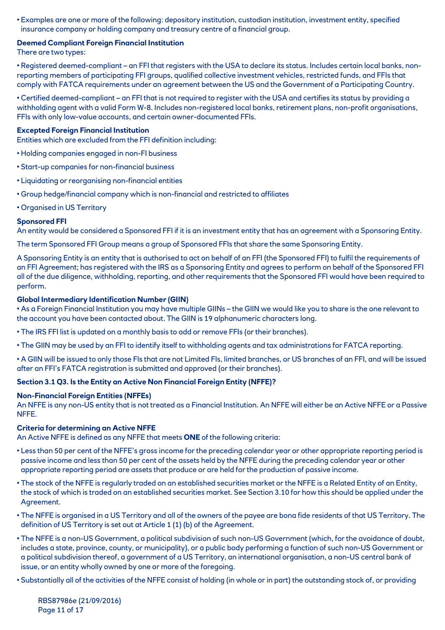• Examples are one or more of the following: depository institution, custodian institution, investment entity, specified insurance company or holding company and treasury centre of a financial group.

# **Deemed Compliant Foreign Financial Institution**

There are two types:

• Registered deemed-compliant – an FFI that registers with the USA to declare its status. Includes certain local banks, nonreporting members of participating FFI groups, qualified collective investment vehicles, restricted funds, and FFIs that comply with FATCA requirements under an agreement between the US and the Government of a Participating Country.

• Certified deemed-compliant – an FFI that is not required to register with the USA and certifies its status by providing a withholding agent with a valid Form W-8. Includes non-registered local banks, retirement plans, non-profit organisations, FFIs with only low-value accounts, and certain owner-documented FFIs.

#### **Excepted Foreign Financial Institution**

Entities which are excluded from the FFI definition including:

- Holding companies engaged in non-FI business
- Start-up companies for non-financial business
- Liquidating or reorganising non-financial entities
- Group hedge/financial company which is non-financial and restricted to affiliates
- Organised in US Territory

## **Sponsored FFI**

An entity would be considered a Sponsored FFI if it is an investment entity that has an agreement with a Sponsoring Entity.

The term Sponsored FFI Group means a group of Sponsored FFIs that share the same Sponsoring Entity.

A Sponsoring Entity is an entity that is authorised to act on behalf of an FFI (the Sponsored FFI) to fulfil the requirements of an FFI Agreement; has registered with the IRS as a Sponsoring Entity and agrees to perform on behalf of the Sponsored FFI all of the due diligence, withholding, reporting, and other requirements that the Sponsored FFI would have been required to perform.

## **Global Intermediary Identification Number (GIIN)**

• As a Foreign Financial Institution you may have multiple GIINs – the GIIN we would like you to share is the one relevant to the account you have been contacted about. The GIIN is 19 alphanumeric characters long.

• The IRS FFI list is updated on a monthly basis to add or remove FFIs (or their branches).

• The GIIN may be used by an FFI to identify itself to withholding agents and tax administrations for FATCA reporting.

• A GIIN will be issued to only those FIs that are not Limited FIs, limited branches, or US branches of an FFI, and will be issued after an FFI's FATCA registration is submitted and approved (or their branches).

# **Section 3.1 Q3. Is the Entity an Active Non Financial Foreign Entity (NFFE)?**

#### **Non-Financial Foreign Entities (NFFEs)**

An NFFE is any non-US entity that is not treated as a Financial Institution. An NFFE will either be an Active NFFE or a Passive NFFE.

# **Criteria for determining an Active NFFE**

An Active NFFE is defined as any NFFE that meets **ONE** of the following criteria:

- Less than 50 per cent of the NFFE's gross income for the preceding calendar year or other appropriate reporting period is passive income and less than 50 per cent of the assets held by the NFFE during the preceding calendar year or other appropriate reporting period are assets that produce or are held for the production of passive income.
- The stock of the NFFE is regularly traded on an established securities market or the NFFE is a Related Entity of an Entity, the stock of which is traded on an established securities market. See Section 3.10 for how this should be applied under the Agreement.
- The NFFE is organised in a US Territory and all of the owners of the payee are bona fide residents of that US Territory. The definition of US Territory is set out at Article 1 (1) (b) of the Agreement.
- The NFFE is a non-US Government, a political subdivision of such non-US Government (which, for the avoidance of doubt, includes a state, province, county, or municipality), or a public body performing a function of such non-US Government or a political subdivision thereof, a government of a US Territory, an international organisation, a non-US central bank of issue, or an entity wholly owned by one or more of the foregoing.
- Substantially all of the activities of the NFFE consist of holding (in whole or in part) the outstanding stock of, or providing

RBS87986e (21/09/2016) Page 11 of 17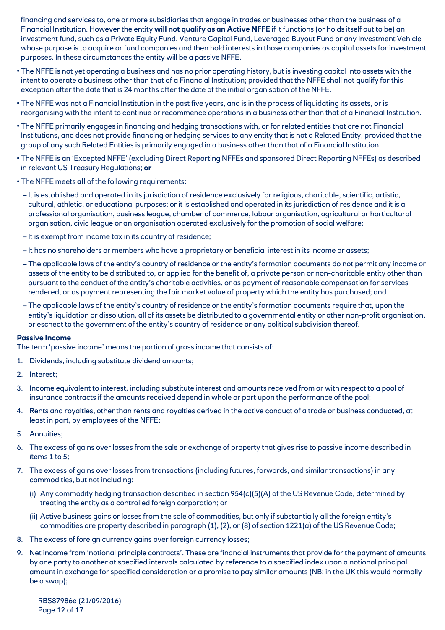financing and services to, one or more subsidiaries that engage in trades or businesses other than the business of a Financial Institution. However the entity **will not qualify as an Active NFFE** if it functions (or holds itself out to be) an investment fund, such as a Private Equity Fund, Venture Capital Fund, Leveraged Buyout Fund or any Investment Vehicle whose purpose is to acquire or fund companies and then hold interests in those companies as capital assets for investment purposes. In these circumstances the entity will be a passive NFFE.

- The NFFE is not yet operating a business and has no prior operating history, but is investing capital into assets with the intent to operate a business other than that of a Financial Institution; provided that the NFFE shall not qualify for this exception after the date that is 24 months after the date of the initial organisation of the NFFE.
- The NFFE was not a Financial Institution in the past five years, and is in the process of liquidating its assets, or is reorganising with the intent to continue or recommence operations in a business other than that of a Financial Institution.
- The NFFE primarily engages in financing and hedging transactions with, or for related entities that are not Financial Institutions, and does not provide financing or hedging services to any entity that is not a Related Entity, provided that the group of any such Related Entities is primarily engaged in a business other than that of a Financial Institution.
- The NFFE is an 'Excepted NFFE' (excluding Direct Reporting NFFEs and sponsored Direct Reporting NFFEs) as described in relevant US Treasury Regulations; **or**
- The NFFE meets **all** of the following requirements:
	- It is established and operated in its jurisdiction of residence exclusively for religious, charitable, scientific, artistic, cultural, athletic, or educational purposes; or it is established and operated in its jurisdiction of residence and it is a professional organisation, business league, chamber of commerce, labour organisation, agricultural or horticultural organisation, civic league or an organisation operated exclusively for the promotion of social welfare;
	- It is exempt from income tax in its country of residence;
	- It has no shareholders or members who have a proprietary or beneficial interest in its income or assets;
	- The applicable laws of the entity's country of residence or the entity's formation documents do not permit any income or assets of the entity to be distributed to, or applied for the benefit of, a private person or non-charitable entity other than pursuant to the conduct of the entity's charitable activities, or as payment of reasonable compensation for services rendered, or as payment representing the fair market value of property which the entity has purchased; and
	- The applicable laws of the entity's country of residence or the entity's formation documents require that, upon the entity's liquidation or dissolution, all of its assets be distributed to a governmental entity or other non-profit organisation, or escheat to the government of the entity's country of residence or any political subdivision thereof.

#### **Passive Income**

The term 'passive income' means the portion of gross income that consists of:

- 1. Dividends, including substitute dividend amounts;
- 2. Interest;
- 3. Income equivalent to interest, including substitute interest and amounts received from or with respect to a pool of insurance contracts if the amounts received depend in whole or part upon the performance of the pool;
- 4. Rents and royalties, other than rents and royalties derived in the active conduct of a trade or business conducted, at least in part, by employees of the NFFE;
- 5. Annuities;
- 6. The excess of gains over losses from the sale or exchange of property that gives rise to passive income described in items 1 to 5;
- 7. The excess of gains over losses from transactions (including futures, forwards, and similar transactions) in any commodities, but not including:
	- (i) Any commodity hedging transaction described in section 954(c)(5)(A) of the US Revenue Code, determined by treating the entity as a controlled foreign corporation; or
	- (ii) Active business gains or losses from the sale of commodities, but only if substantially all the foreign entity's commodities are property described in paragraph (1), (2), or (8) of section 1221(a) of the US Revenue Code;
- 8. The excess of foreign currency gains over foreign currency losses;
- 9. Net income from 'notional principle contracts'. These are financial instruments that provide for the payment of amounts by one party to another at specified intervals calculated by reference to a specified index upon a notional principal amount in exchange for specified consideration or a promise to pay similar amounts (NB: in the UK this would normally be a swap);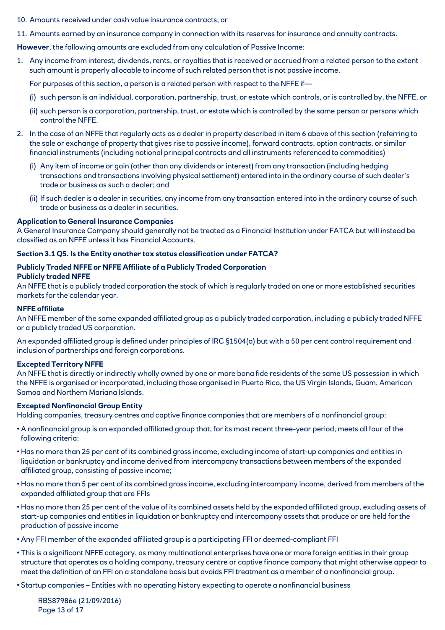- 10. Amounts received under cash value insurance contracts; or
- 11. Amounts earned by an insurance company in connection with its reserves for insurance and annuity contracts.

**However**, the following amounts are excluded from any calculation of Passive Income:

1. Any income from interest, dividends, rents, or royalties that is received or accrued from a related person to the extent such amount is properly allocable to income of such related person that is not passive income.

For purposes of this section, a person is a related person with respect to the NFFE if—

- (i) such person is an individual, corporation, partnership, trust, or estate which controls, or is controlled by, the NFFE, or
- (ii) such person is a corporation, partnership, trust, or estate which is controlled by the same person or persons which control the NFFE.
- 2. In the case of an NFFE that regularly acts as a dealer in property described in item 6 above of this section (referring to the sale or exchange of property that gives rise to passive income), forward contracts, option contracts, or similar financial instruments (including notional principal contracts and all instruments referenced to commodities)
	- (i) Any item of income or gain (other than any dividends or interest) from any transaction (including hedging transactions and transactions involving physical settlement) entered into in the ordinary course of such dealer's trade or business as such a dealer; and
	- (ii) If such dealer is a dealer in securities, any income from any transaction entered into in the ordinary course of such trade or business as a dealer in securities.

#### **Application to General Insurance Companies**

A General Insurance Company should generally not be treated as a Financial Institution under FATCA but will instead be classified as an NFFE unless it has Financial Accounts.

#### **Section 3.1 Q5. Is the Entity another tax status classification under FATCA?**

# **Publicly Traded NFFE or NFFE Affiliate of a Publicly Traded Corporation Publicly traded NFFE**

An NFFE that is a publicly traded corporation the stock of which is regularly traded on one or more established securities markets for the calendar year.

#### **NFFE affiliate**

An NFFE member of the same expanded affiliated group as a publicly traded corporation, including a publicly traded NFFE or a publicly traded US corporation.

An expanded affiliated group is defined under principles of IRC §1504(a) but with a 50 per cent control requirement and inclusion of partnerships and foreign corporations.

#### **Excepted Territory NFFE**

An NFFE that is directly or indirectly wholly owned by one or more bona fide residents of the same US possession in which the NFFE is organised or incorporated, including those organised in Puerto Rico, the US Virgin Islands, Guam, American Samoa and Northern Mariana Islands.

# **Excepted Nonfinancial Group Entity**

Holding companies, treasury centres and captive finance companies that are members of a nonfinancial group:

- A nonfinancial group is an expanded affiliated group that, for its most recent three-year period, meets all four of the following criteria:
- Has no more than 25 per cent of its combined gross income, excluding income of start-up companies and entities in liquidation or bankruptcy and income derived from intercompany transactions between members of the expanded affiliated group, consisting of passive income;
- Has no more than 5 per cent of its combined gross income, excluding intercompany income, derived from members of the expanded affiliated group that are FFIs
- Has no more than 25 per cent of the value of its combined assets held by the expanded affiliated group, excluding assets of start-up companies and entities in liquidation or bankruptcy and intercompany assets that produce or are held for the production of passive income
- Any FFI member of the expanded affiliated group is a participating FFI or deemed-compliant FFI
- This is a significant NFFE category, as many multinational enterprises have one or more foreign entities in their group structure that operates as a holding company, treasury centre or captive finance company that might otherwise appear to meet the definition of an FFI on a standalone basis but avoids FFI treatment as a member of a nonfinancial group.
- Startup companies Entities with no operating history expecting to operate a nonfinancial business

RBS87986e (21/09/2016) Page 13 of 17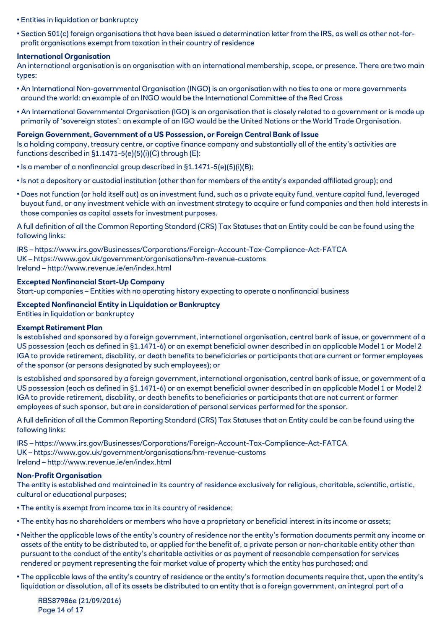- Entities in liquidation or bankruptcy
- Section 501(c) foreign organisations that have been issued a determination letter from the IRS, as well as other not-forprofit organisations exempt from taxation in their country of residence

# **International Organisation**

An international organisation is an organisation with an international membership, scope, or presence. There are two main types:

- An International Non-governmental Organisation (INGO) is an organisation with no ties to one or more governments around the world: an example of an INGO would be the International Committee of the Red Cross
- An International Governmental Organisation (IGO) is an organisation that is closely related to a government or is made up primarily of 'sovereign states': an example of an IGO would be the United Nations or the World Trade Organisation.

# **Foreign Government, Government of a US Possession, or Foreign Central Bank of Issue**

Is a holding company, treasury centre, or captive finance company and substantially all of the entity's activities are functions described in §1.1471-5(e)(5)(i)(C) through (E):

- Is a member of a nonfinancial group described in §1.1471-5(e)(5)(i)(B);
- Is not a depository or custodial institution (other than for members of the entity's expanded affiliated group); and
- Does not function (or hold itself out) as an investment fund, such as a private equity fund, venture capital fund, leveraged buyout fund, or any investment vehicle with an investment strategy to acquire or fund companies and then hold interests in those companies as capital assets for investment purposes.

A full definition of all the Common Reporting Standard (CRS) Tax Statuses that an Entity could be can be found using the following links:

IRS – https://www.irs.gov/Businesses/Corporations/Foreign-Account-Tax-Compliance-Act-FATCA UK – https://www.gov.uk/government/organisations/hm-revenue-customs Ireland – http://www.revenue.ie/en/index.html

## **Excepted Nonfinancial Start-Up Company**

Start-up companies – Entities with no operating history expecting to operate a nonfinancial business

# **Excepted Nonfinancial Entity in Liquidation or Bankruptcy**

Entities in liquidation or bankruptcy

#### **Exempt Retirement Plan**

Is established and sponsored by a foreign government, international organisation, central bank of issue, or government of a US possession (each as defined in §1.1471-6) or an exempt beneficial owner described in an applicable Model 1 or Model 2 IGA to provide retirement, disability, or death benefits to beneficiaries or participants that are current or former employees of the sponsor (or persons designated by such employees); or

Is established and sponsored by a foreign government, international organisation, central bank of issue, or government of a US possession (each as defined in §1.1471-6) or an exempt beneficial owner described in an applicable Model 1 or Model 2 IGA to provide retirement, disability, or death benefits to beneficiaries or participants that are not current or former employees of such sponsor, but are in consideration of personal services performed for the sponsor.

A full definition of all the Common Reporting Standard (CRS) Tax Statuses that an Entity could be can be found using the following links:

IRS – https://www.irs.gov/Businesses/Corporations/Foreign-Account-Tax-Compliance-Act-FATCA UK – https://www.gov.uk/government/organisations/hm-revenue-customs Ireland – http://www.revenue.ie/en/index.html

# **Non-Profit Organisation**

The entity is established and maintained in its country of residence exclusively for religious, charitable, scientific, artistic, cultural or educational purposes;

- The entity is exempt from income tax in its country of residence;
- The entity has no shareholders or members who have a proprietary or beneficial interest in its income or assets;
- Neither the applicable laws of the entity's country of residence nor the entity's formation documents permit any income or assets of the entity to be distributed to, or applied for the benefit of, a private person or non-charitable entity other than pursuant to the conduct of the entity's charitable activities or as payment of reasonable compensation for services rendered or payment representing the fair market value of property which the entity has purchased; and
- The applicable laws of the entity's country of residence or the entity's formation documents require that, upon the entity's liquidation or dissolution, all of its assets be distributed to an entity that is a foreign government, an integral part of a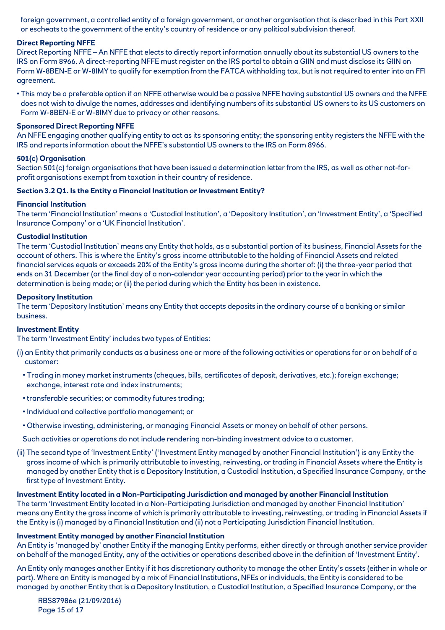foreign government, a controlled entity of a foreign government, or another organisation that is described in this Part XXII or escheats to the government of the entity's country of residence or any political subdivision thereof.

# **Direct Reporting NFFE**

Direct Reporting NFFE – An NFFE that elects to directly report information annually about its substantial US owners to the IRS on Form 8966. A direct-reporting NFFE must register on the IRS portal to obtain a GIIN and must disclose its GIIN on Form W-8BEN-E or W-8IMY to qualify for exemption from the FATCA withholding tax, but is not required to enter into an FFI agreement.

• This may be a preferable option if an NFFE otherwise would be a passive NFFE having substantial US owners and the NFFE does not wish to divulge the names, addresses and identifying numbers of its substantial US owners to its US customers on Form W-8BEN-E or W-8IMY due to privacy or other reasons.

# **Sponsored Direct Reporting NFFE**

An NFFE engaging another qualifying entity to act as its sponsoring entity; the sponsoring entity registers the NFFE with the IRS and reports information about the NFFE's substantial US owners to the IRS on Form 8966.

## **501(c) Organisation**

Section 501(c) foreign organisations that have been issued a determination letter from the IRS, as well as other not-forprofit organisations exempt from taxation in their country of residence.

## **Section 3.2 Q1. Is the Entity a Financial Institution or Investment Entity?**

## **Financial Institution**

The term 'Financial Institution' means a 'Custodial Institution', a 'Depository Institution', an 'Investment Entity', a 'Specified Insurance Company' or a 'UK Financial Institution'.

## **Custodial Institution**

The term 'Custodial Institution' means any Entity that holds, as a substantial portion of its business, Financial Assets for the account of others. This is where the Entity's gross income attributable to the holding of Financial Assets and related financial services equals or exceeds 20% of the Entity's gross income during the shorter of: (i) the three-year period that ends on 31 December (or the final day of a non-calendar year accounting period) prior to the year in which the determination is being made; or (ii) the period during which the Entity has been in existence.

#### **Depository Institution**

The term 'Depository Institution' means any Entity that accepts deposits in the ordinary course of a banking or similar business.

#### **Investment Entity**

The term 'Investment Entity' includes two types of Entities:

- (i) an Entity that primarily conducts as a business one or more of the following activities or operations for or on behalf of a customer:
	- Trading in money market instruments (cheques, bills, certificates of deposit, derivatives, etc.); foreign exchange; exchange, interest rate and index instruments;
	- transferable securities; or commodity futures trading;
	- Individual and collective portfolio management; or
	- Otherwise investing, administering, or managing Financial Assets or money on behalf of other persons.
	- Such activities or operations do not include rendering non-binding investment advice to a customer.
- (ii) The second type of 'Investment Entity' ('Investment Entity managed by another Financial Institution') is any Entity the gross income of which is primarily attributable to investing, reinvesting, or trading in Financial Assets where the Entity is managed by another Entity that is a Depository Institution, a Custodial Institution, a Specified Insurance Company, or the first type of Investment Entity.

# **Investment Entity located in a Non-Participating Jurisdiction and managed by another Financial Institution**

The term 'Investment Entity located in a Non-Participating Jurisdiction and managed by another Financial Institution' means any Entity the gross income of which is primarily attributable to investing, reinvesting, or trading in Financial Assets if the Entity is (i) managed by a Financial Institution and (ii) not a Participating Jurisdiction Financial Institution.

#### **Investment Entity managed by another Financial Institution**

An Entity is 'managed by' another Entity if the managing Entity performs, either directly or through another service provider on behalf of the managed Entity, any of the activities or operations described above in the definition of 'Investment Entity'.

An Entity only manages another Entity if it has discretionary authority to manage the other Entity's assets (either in whole or part). Where an Entity is managed by a mix of Financial Institutions, NFEs or individuals, the Entity is considered to be managed by another Entity that is a Depository Institution, a Custodial Institution, a Specified Insurance Company, or the

RBS87986e (21/09/2016) Page 15 of 17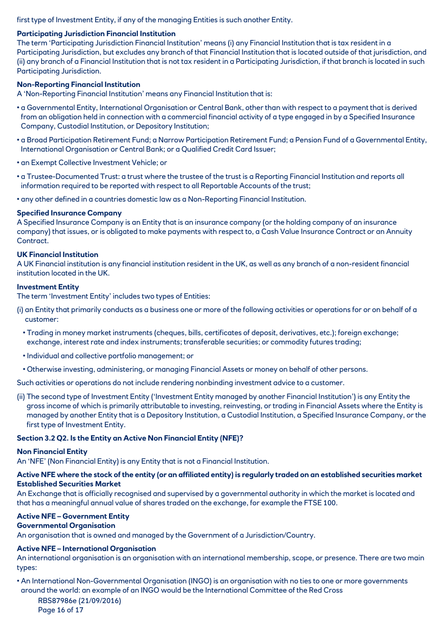first type of Investment Entity, if any of the managing Entities is such another Entity.

# **Participating Jurisdiction Financial Institution**

The term 'Participating Jurisdiction Financial Institution' means (i) any Financial Institution that is tax resident in a Participating Jurisdiction, but excludes any branch of that Financial Institution that is located outside of that jurisdiction, and (ii) any branch of a Financial Institution that is not tax resident in a Participating Jurisdiction, if that branch is located in such Participating Jurisdiction.

#### **Non-Reporting Financial Institution**

A 'Non-Reporting Financial Institution' means any Financial Institution that is:

- a Governmental Entity, International Organisation or Central Bank, other than with respect to a payment that is derived from an obligation held in connection with a commercial financial activity of a type engaged in by a Specified Insurance Company, Custodial Institution, or Depository Institution;
- a Broad Participation Retirement Fund; a Narrow Participation Retirement Fund; a Pension Fund of a Governmental Entity, International Organisation or Central Bank; or a Qualified Credit Card Issuer;
- an Exempt Collective Investment Vehicle; or
- a Trustee-Documented Trust: a trust where the trustee of the trust is a Reporting Financial Institution and reports all information required to be reported with respect to all Reportable Accounts of the trust;
- any other defined in a countries domestic law as a Non-Reporting Financial Institution.

#### **Specified Insurance Company**

A Specified Insurance Company is an Entity that is an insurance company (or the holding company of an insurance company) that issues, or is obligated to make payments with respect to, a Cash Value Insurance Contract or an Annuity Contract.

#### **UK Financial Institution**

A UK Financial institution is any financial institution resident in the UK, as well as any branch of a non-resident financial institution located in the UK.

#### **Investment Entity**

The term 'Investment Entity' includes two types of Entities:

- (i) an Entity that primarily conducts as a business one or more of the following activities or operations for or on behalf of a customer:
	- Trading in money market instruments (cheques, bills, certificates of deposit, derivatives, etc.); foreign exchange; exchange, interest rate and index instruments; transferable securities; or commodity futures trading;
	- Individual and collective portfolio management; or
	- Otherwise investing, administering, or managing Financial Assets or money on behalf of other persons.

Such activities or operations do not include rendering nonbinding investment advice to a customer.

(ii) The second type of Investment Entity ('Investment Entity managed by another Financial Institution') is any Entity the gross income of which is primarily attributable to investing, reinvesting, or trading in Financial Assets where the Entity is managed by another Entity that is a Depository Institution, a Custodial Institution, a Specified Insurance Company, or the first type of Investment Entity.

#### **Section 3.2 Q2. Is the Entity an Active Non Financial Entity (NFE)?**

#### **Non Financial Entity**

An 'NFE' (Non Financial Entity) is any Entity that is not a Financial Institution.

# **Active NFE where the stock of the entity (or an affiliated entity) is regularly traded on an established securities market Established Securities Market**

An Exchange that is officially recognised and supervised by a governmental authority in which the market is located and that has a meaningful annual value of shares traded on the exchange, for example the FTSE 100.

# **Active NFE – Government Entity**

# **Governmental Organisation**

An organisation that is owned and managed by the Government of a Jurisdiction/Country.

# **Active NFE – International Organisation**

An international organisation is an organisation with an international membership, scope, or presence. There are two main types:

• An International Non-Governmental Organisation (INGO) is an organisation with no ties to one or more governments around the world: an example of an INGO would be the International Committee of the Red Cross

RBS87986e (21/09/2016) Page 16 of 17